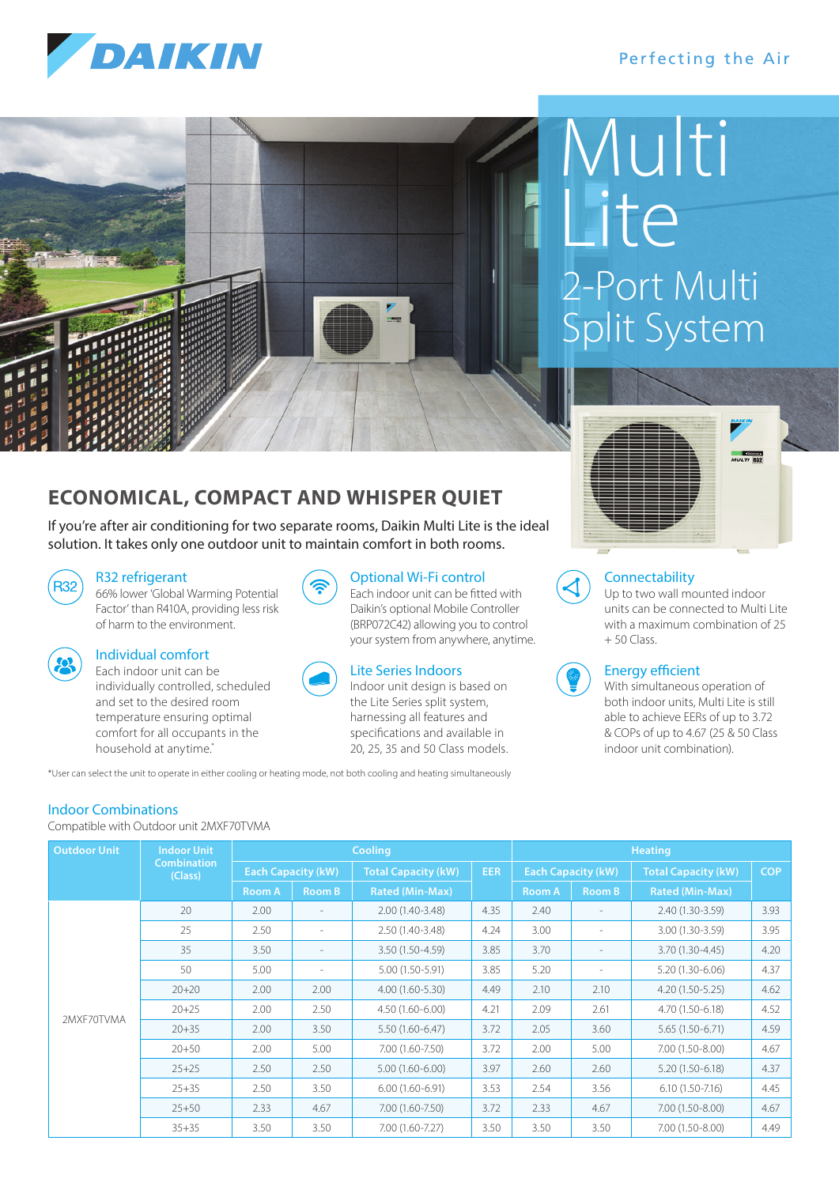# DAIKIN

### Perfecting the Air



# 2-Port Multi Split System Multi Lite



#### **Connectability**

 Up to two wall mounted indoor units can be connected to Multi Lite with a maximum combination of 25 + 50 Class.



#### Energy efficient

 With simultaneous operation of both indoor units, Multi Lite is still able to achieve EERs of up to 3.72 & COPs of up to 4.67 (25 & 50 Class indoor unit combination).

**ECONOMICAL, COMPACT AND WHISPER QUIET**

If you're after air conditioning for two separate rooms, Daikin Multi Lite is the ideal solution. It takes only one outdoor unit to maintain comfort in both rooms.

#### R32 refrigerant

R32) 66% lower 'Global Warming Potential Factor' than R410A, providing less risk of harm to the environment.

| ٠ |  |  |
|---|--|--|
|   |  |  |
|   |  |  |

#### Individual comfort

 Each indoor unit can be individually controlled, scheduled and set to the desired room temperature ensuring optimal comfort for all occupants in the household at anytime.\*

| $(\widehat{\mathcal{Z}})$ | <b>Optional Wi-Fi control</b>       |
|---------------------------|-------------------------------------|
|                           | Each indoor unit can be fitted with |
|                           | Daikin's optional Mobile Controller |

# Lite Series Indoors

 Indoor unit design is based on the Lite Series split system, harnessing all features and specifications and available in 20, 25, 35 and 50 Class models.

(BRP072C42) allowing you to control your system from anywhere, anytime.

\*User can select the unit to operate in either cooling or heating mode, not both cooling and heating simultaneously

### Indoor Combinations

Compatible with Outdoor unit 2MXF70TVMA

| <b>Outdoor Unit</b> | <b>Indoor Unit</b>            | <b>Cooling</b>            |                          |                            |            | <b>Heating</b>            |                          |                            |            |
|---------------------|-------------------------------|---------------------------|--------------------------|----------------------------|------------|---------------------------|--------------------------|----------------------------|------------|
|                     | <b>Combination</b><br>(Class) | <b>Each Capacity (kW)</b> |                          | <b>Total Capacity (kW)</b> | <b>EER</b> | <b>Each Capacity (kW)</b> |                          | <b>Total Capacity (kW)</b> | <b>COP</b> |
|                     |                               | <b>Room A</b>             | Room B                   | <b>Rated (Min-Max)</b>     |            | <b>Room A</b>             | <b>Room B</b>            | <b>Rated (Min-Max)</b>     |            |
| 2MXF70TVMA          | 20                            | 2.00                      |                          | 2.00 (1.40-3.48)           | 4.35       | 2.40                      | $\overline{\phantom{a}}$ | 2.40 (1.30-3.59)           | 3.93       |
|                     | 25                            | 2.50                      | $\overline{\phantom{a}}$ | 2.50 (1.40-3.48)           | 4.24       | 3.00                      | $\overline{\phantom{a}}$ | 3.00 (1.30-3.59)           | 3.95       |
|                     | 35                            | 3.50                      |                          | 3.50 (1.50-4.59)           | 3.85       | 3.70                      |                          | 3.70 (1.30-4.45)           | 4.20       |
|                     | 50                            | 5.00                      |                          | 5.00 (1.50-5.91)           | 3.85       | 5.20                      |                          | $5.20(1.30-6.06)$          | 4.37       |
|                     | $20 + 20$                     | 2.00                      | 2.00                     | $4.00(1.60 - 5.30)$        | 4.49       | 2.10                      | 2.10                     | $4.20(1.50-5.25)$          | 4.62       |
|                     | $20 + 25$                     | 2.00                      | 2.50                     | $4.50(1.60 - 6.00)$        | 4.21       | 2.09                      | 2.61                     | 4.70 (1.50-6.18)           | 4.52       |
|                     | $20 + 35$                     | 2.00                      | 3.50                     | $5.50(1.60 - 6.47)$        | 3.72       | 2.05                      | 3.60                     | 5.65 (1.50-6.71)           | 4.59       |
|                     | $20 + 50$                     | 2.00                      | 5.00                     | 7.00 (1.60-7.50)           | 3.72       | 2.00                      | 5.00                     | $7.00(1.50-8.00)$          | 4.67       |
|                     | $25 + 25$                     | 2.50                      | 2.50                     | $5.00(1.60 - 6.00)$        | 3.97       | 2.60                      | 2.60                     | $5.20(1.50-6.18)$          | 4.37       |
|                     | $25 + 35$                     | 2.50                      | 3.50                     | $6.00(1.60-6.91)$          | 3.53       | 2.54                      | 3.56                     | $6.10(1.50 - 7.16)$        | 4.45       |
|                     | $25 + 50$                     | 2.33                      | 4.67                     | 7.00 (1.60-7.50)           | 3.72       | 2.33                      | 4.67                     | $7.00(1.50-8.00)$          | 4.67       |
|                     | $35 + 35$                     | 3.50                      | 3.50                     | 7.00 (1.60-7.27)           | 3.50       | 3.50                      | 3.50                     | 7.00 (1.50-8.00)           | 4.49       |